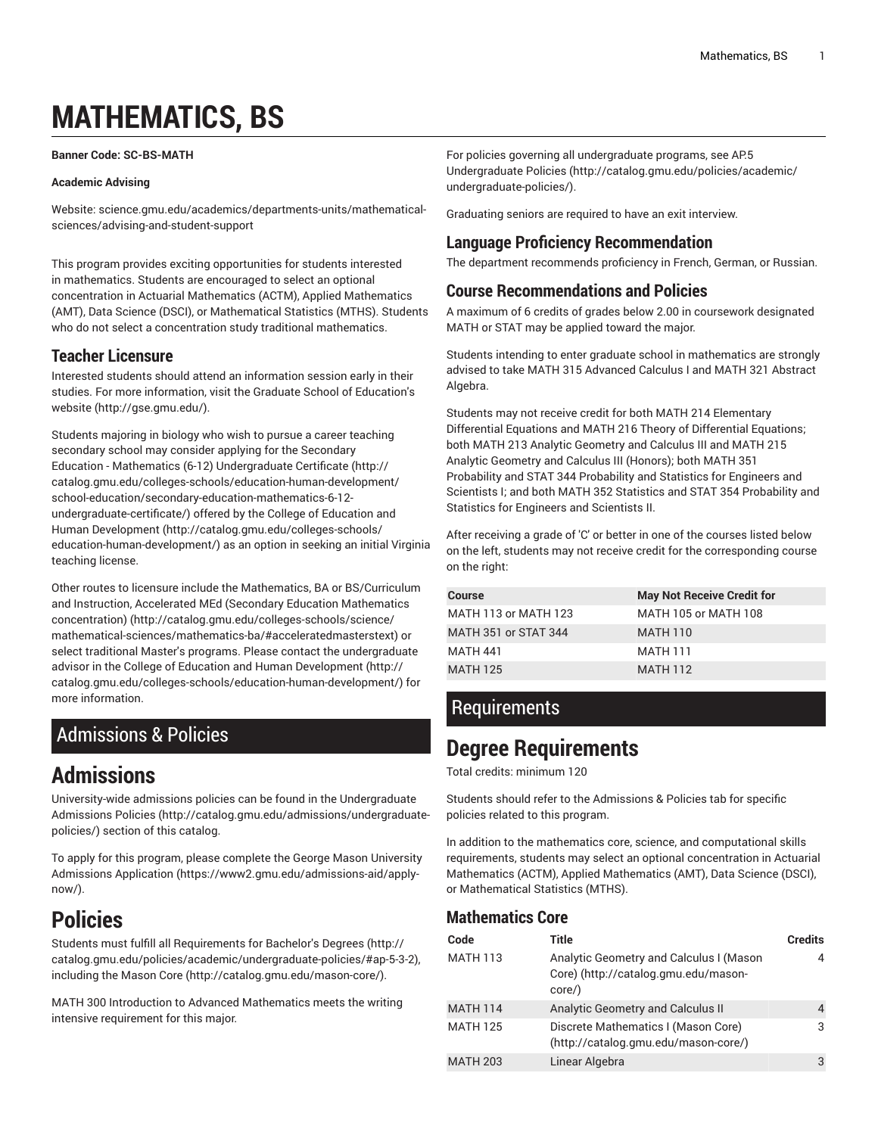# **MATHEMATICS, BS**

#### <span id="page-0-1"></span>**Banner Code: SC-BS-MATH**

#### **Academic Advising**

Website: science.gmu.edu/academics/departments-units/mathematicalsciences/advising-and-student-support

This program provides exciting opportunities for students interested in mathematics. Students are encouraged to select an optional concentration in Actuarial Mathematics (ACTM), Applied Mathematics (AMT), Data Science (DSCI), or Mathematical Statistics (MTHS). Students who do not select a concentration study traditional mathematics.

### **Teacher Licensure**

Interested students should attend an information session early in their studies. For more information, visit the Graduate School of [Education's](http://gse.gmu.edu/) [website](http://gse.gmu.edu/) ([http://gse.gmu.edu/\)](http://gse.gmu.edu/).

Students majoring in biology who wish to pursue a career teaching secondary school may consider applying for the [Secondary](http://catalog.gmu.edu/colleges-schools/education-human-development/school-education/secondary-education-mathematics-6-12-undergraduate-certificate/) Education - Mathematics (6-12) [Undergraduate](http://catalog.gmu.edu/colleges-schools/education-human-development/school-education/secondary-education-mathematics-6-12-undergraduate-certificate/) Certificate ([http://](http://catalog.gmu.edu/colleges-schools/education-human-development/school-education/secondary-education-mathematics-6-12-undergraduate-certificate/) [catalog.gmu.edu/colleges-schools/education-human-development/](http://catalog.gmu.edu/colleges-schools/education-human-development/school-education/secondary-education-mathematics-6-12-undergraduate-certificate/) [school-education/secondary-education-mathematics-6-12](http://catalog.gmu.edu/colleges-schools/education-human-development/school-education/secondary-education-mathematics-6-12-undergraduate-certificate/) [undergraduate-certificate/](http://catalog.gmu.edu/colleges-schools/education-human-development/school-education/secondary-education-mathematics-6-12-undergraduate-certificate/)) offered by the College of [Education](http://catalog.gmu.edu/colleges-schools/education-human-development/) and Human [Development](http://catalog.gmu.edu/colleges-schools/education-human-development/) [\(http://catalog.gmu.edu/colleges-schools/](http://catalog.gmu.edu/colleges-schools/education-human-development/) [education-human-development/](http://catalog.gmu.edu/colleges-schools/education-human-development/)) as an option in seeking an initial Virginia teaching license.

Other routes to licensure include the [Mathematics, BA or BS/Curriculum](http://catalog.gmu.edu/colleges-schools/science/mathematical-sciences/mathematics-ba/#acceleratedmasterstext) and Instruction, Accelerated MEd (Secondary Education [Mathematics](http://catalog.gmu.edu/colleges-schools/science/mathematical-sciences/mathematics-ba/#acceleratedmasterstext) [concentration\) \(http://catalog.gmu.edu/colleges-schools/science/](http://catalog.gmu.edu/colleges-schools/science/mathematical-sciences/mathematics-ba/#acceleratedmasterstext) [mathematical-sciences/mathematics-ba/#acceleratedmasterstext](http://catalog.gmu.edu/colleges-schools/science/mathematical-sciences/mathematics-ba/#acceleratedmasterstext)) or select traditional Master's programs. Please contact the undergraduate advisor in the College of Education and Human [Development](http://catalog.gmu.edu/colleges-schools/education-human-development/) ([http://](http://catalog.gmu.edu/colleges-schools/education-human-development/) [catalog.gmu.edu/colleges-schools/education-human-development/\)](http://catalog.gmu.edu/colleges-schools/education-human-development/) for more information.

### <span id="page-0-0"></span>Admissions & Policies

### **Admissions**

University-wide admissions policies can be found in the [Undergraduate](http://catalog.gmu.edu/admissions/undergraduate-policies/) [Admissions](http://catalog.gmu.edu/admissions/undergraduate-policies/) Policies [\(http://catalog.gmu.edu/admissions/undergraduate](http://catalog.gmu.edu/admissions/undergraduate-policies/)[policies/](http://catalog.gmu.edu/admissions/undergraduate-policies/)) section of this catalog.

To apply for this program, please complete the George Mason [University](https://www2.gmu.edu/admissions-aid/apply-now/) [Admissions Application](https://www2.gmu.edu/admissions-aid/apply-now/) ([https://www2.gmu.edu/admissions-aid/apply](https://www2.gmu.edu/admissions-aid/apply-now/) $now/$ )

## **Policies**

Students must fulfill all [Requirements](http://catalog.gmu.edu/policies/academic/undergraduate-policies/#ap-5-3-2) for Bachelor's Degrees ([http://](http://catalog.gmu.edu/policies/academic/undergraduate-policies/#ap-5-3-2) [catalog.gmu.edu/policies/academic/undergraduate-policies/#ap-5-3-2](http://catalog.gmu.edu/policies/academic/undergraduate-policies/#ap-5-3-2)), including the [Mason](http://catalog.gmu.edu/mason-core/) Core [\(http://catalog.gmu.edu/mason-core/](http://catalog.gmu.edu/mason-core/)).

MATH 300 Introduction to Advanced Mathematics meets the writing intensive requirement for this major.

For policies governing all undergraduate programs, see [AP.5](http://catalog.gmu.edu/policies/academic/undergraduate-policies/) [Undergraduate](http://catalog.gmu.edu/policies/academic/undergraduate-policies/) Policies ([http://catalog.gmu.edu/policies/academic/](http://catalog.gmu.edu/policies/academic/undergraduate-policies/) [undergraduate-policies/](http://catalog.gmu.edu/policies/academic/undergraduate-policies/)).

Graduating seniors are required to have an exit interview.

### **Language Proficiency Recommendation**

The department recommends proficiency in French, German, or Russian.

### **Course Recommendations and Policies**

A maximum of 6 credits of grades below 2.00 in coursework designated MATH or STAT may be applied toward the major.

Students intending to enter graduate school in mathematics are strongly advised to take MATH 315 Advanced Calculus I and MATH 321 Abstract Algebra.

Students may not receive credit for both MATH 214 Elementary Differential Equations and MATH 216 Theory of Differential Equations; both MATH 213 Analytic Geometry and Calculus III and MATH 215 Analytic Geometry and Calculus III (Honors); both MATH 351 Probability and STAT 344 Probability and Statistics for Engineers and Scientists I; and both MATH 352 Statistics and STAT 354 Probability and Statistics for Engineers and Scientists II.

After receiving a grade of 'C' or better in one of the courses listed below on the left, students may not receive credit for the corresponding course on the right:

| <b>Course</b>        | <b>May Not Receive Credit for</b> |
|----------------------|-----------------------------------|
| MATH 113 or MATH 123 | MATH 105 or MATH 108              |
| MATH 351 or STAT 344 | <b>MATH 110</b>                   |
| <b>MATH 441</b>      | <b>MATH 111</b>                   |
| <b>MATH 125</b>      | <b>MATH 112</b>                   |

### **Requirements**

### **Degree Requirements**

Total credits: minimum 120

Students should refer to the [Admissions](#page-0-0) & Policies tab for specific policies related to this program.

In addition to the mathematics core, science, and computational skills requirements, students may select an optional concentration in Actuarial Mathematics (ACTM), Applied Mathematics (AMT), Data Science (DSCI), or Mathematical Statistics (MTHS).

### **Mathematics Core**

| Code            | Title                                                                                       | <b>Credits</b> |
|-----------------|---------------------------------------------------------------------------------------------|----------------|
| <b>MATH 113</b> | Analytic Geometry and Calculus I (Mason<br>Core) (http://catalog.gmu.edu/mason-<br>$core$ ) |                |
| <b>MATH 114</b> | Analytic Geometry and Calculus II                                                           |                |
| <b>MATH 125</b> | Discrete Mathematics I (Mason Core)<br>(http://catalog.gmu.edu/mason-core/)                 | 3              |
| <b>MATH 203</b> | Linear Algebra                                                                              | 3              |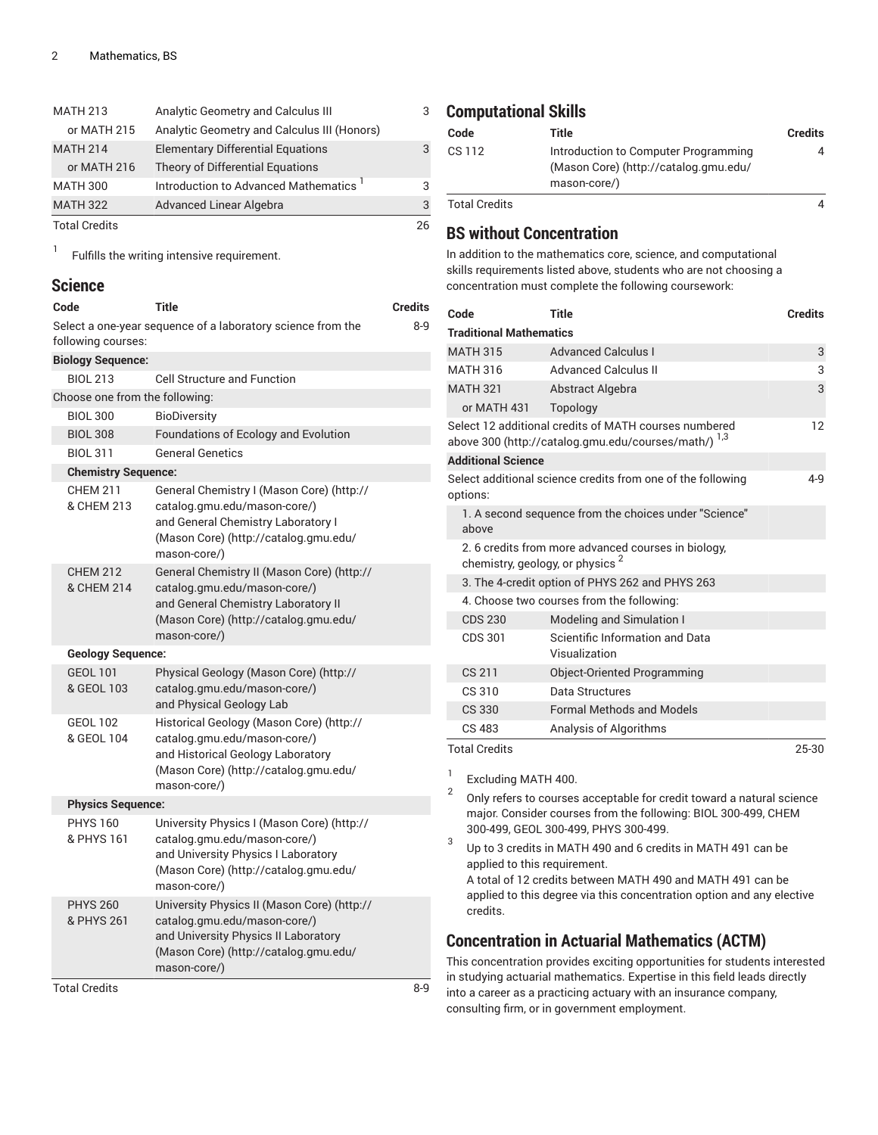| <b>MATH 213</b>      | Analytic Geometry and Calculus III          | 3  |
|----------------------|---------------------------------------------|----|
| or MATH 215          | Analytic Geometry and Calculus III (Honors) |    |
| <b>MATH 214</b>      | <b>Elementary Differential Equations</b>    | 3  |
| or MATH 216          | Theory of Differential Equations            |    |
| <b>MATH 300</b>      | Introduction to Advanced Mathematics '      | 3  |
| <b>MATH 322</b>      | <b>Advanced Linear Algebra</b>              | 3  |
| <b>Total Credits</b> |                                             | 26 |

1 Fulfills the writing intensive requirement.

### **Science**

| Code                           | Title                                                                                                                                                                        | <b>Credits</b> |
|--------------------------------|------------------------------------------------------------------------------------------------------------------------------------------------------------------------------|----------------|
| following courses:             | Select a one-year sequence of a laboratory science from the                                                                                                                  | $8-9$          |
| <b>Biology Sequence:</b>       |                                                                                                                                                                              |                |
| <b>BIOL 213</b>                | <b>Cell Structure and Function</b>                                                                                                                                           |                |
| Choose one from the following: |                                                                                                                                                                              |                |
| <b>BIOL 300</b>                | <b>BioDiversity</b>                                                                                                                                                          |                |
| <b>BIOL 308</b>                | Foundations of Ecology and Evolution                                                                                                                                         |                |
| <b>BIOL 311</b>                | <b>General Genetics</b>                                                                                                                                                      |                |
| <b>Chemistry Sequence:</b>     |                                                                                                                                                                              |                |
| <b>CHEM 211</b><br>& CHEM 213  | General Chemistry I (Mason Core) (http://<br>catalog.gmu.edu/mason-core/)<br>and General Chemistry Laboratory I<br>(Mason Core) (http://catalog.gmu.edu/<br>mason-core/)     |                |
| <b>CHEM 212</b><br>& CHEM 214  | General Chemistry II (Mason Core) (http://<br>catalog.gmu.edu/mason-core/)<br>and General Chemistry Laboratory II<br>(Mason Core) (http://catalog.gmu.edu/<br>mason-core/)   |                |
| <b>Geology Sequence:</b>       |                                                                                                                                                                              |                |
| <b>GEOL 101</b><br>& GEOL 103  | Physical Geology (Mason Core) (http://<br>catalog.gmu.edu/mason-core/)<br>and Physical Geology Lab                                                                           |                |
| <b>GEOL 102</b><br>& GEOL 104  | Historical Geology (Mason Core) (http://<br>catalog.gmu.edu/mason-core/)<br>and Historical Geology Laboratory<br>(Mason Core) (http://catalog.gmu.edu/<br>mason-core/)       |                |
| <b>Physics Sequence:</b>       |                                                                                                                                                                              |                |
| <b>PHYS 160</b><br>& PHYS 161  | University Physics I (Mason Core) (http://<br>catalog.gmu.edu/mason-core/)<br>and University Physics I Laboratory<br>(Mason Core) (http://catalog.gmu.edu/<br>mason-core/)   |                |
| <b>PHYS 260</b><br>& PHYS 261  | University Physics II (Mason Core) (http://<br>catalog.gmu.edu/mason-core/)<br>and University Physics II Laboratory<br>(Mason Core) (http://catalog.gmu.edu/<br>mason-core/) |                |
| <b>Total Credits</b>           |                                                                                                                                                                              | $8-9$          |

#### **Computational Skills**

| Code                 | Title                                                                                         | <b>Credits</b> |
|----------------------|-----------------------------------------------------------------------------------------------|----------------|
| CS 112               | Introduction to Computer Programming<br>(Mason Core) (http://catalog.gmu.edu/<br>mason-core/) |                |
| <b>Total Credits</b> |                                                                                               |                |

### **BS without Concentration**

In addition to the mathematics core, science, and computational skills requirements listed above, students who are not choosing a concentration must complete the following coursework:

| Code                           | <b>Title</b>                                                                                                             | <b>Credits</b> |
|--------------------------------|--------------------------------------------------------------------------------------------------------------------------|----------------|
| <b>Traditional Mathematics</b> |                                                                                                                          |                |
| <b>MATH 315</b>                | <b>Advanced Calculus I</b>                                                                                               | 3              |
| <b>MATH 316</b>                | <b>Advanced Calculus II</b>                                                                                              | 3              |
| <b>MATH 321</b>                | Abstract Algebra                                                                                                         | 3              |
| or MATH 431                    | Topology                                                                                                                 |                |
|                                | Select 12 additional credits of MATH courses numbered<br>above 300 (http://catalog.gmu.edu/courses/math/) <sup>1,3</sup> | 12             |
| <b>Additional Science</b>      |                                                                                                                          |                |
| options:                       | Select additional science credits from one of the following                                                              | $4 - 9$        |
| above                          | 1. A second sequence from the choices under "Science"                                                                    |                |
|                                | 2. 6 credits from more advanced courses in biology,<br>chemistry, geology, or physics <sup>2</sup>                       |                |
|                                | 3. The 4-credit option of PHYS 262 and PHYS 263                                                                          |                |
|                                | 4. Choose two courses from the following:                                                                                |                |
| <b>CDS 230</b>                 | <b>Modeling and Simulation I</b>                                                                                         |                |
| <b>CDS 301</b>                 | Scientific Information and Data<br>Visualization                                                                         |                |
| CS 211                         | <b>Object-Oriented Programming</b>                                                                                       |                |
| CS 310                         | Data Structures                                                                                                          |                |
| <b>CS 330</b>                  | <b>Formal Methods and Models</b>                                                                                         |                |
| CS 483                         | Analysis of Algorithms                                                                                                   |                |
| <b>Total Credits</b>           |                                                                                                                          | 25-30          |

- 1 Excluding MATH 400.
- 2 Only refers to courses acceptable for credit toward a natural science major. Consider courses from the following: BIOL 300-499, CHEM 300-499, GEOL 300-499, PHYS 300-499.
- 3 Up to 3 credits in MATH 490 and 6 credits in MATH 491 can be applied to this requirement. A total of 12 credits between MATH 490 and MATH 491 can be applied to this degree via this concentration option and any elective credits.

### **Concentration in Actuarial Mathematics (ACTM)**

This concentration provides exciting opportunities for students interested in studying actuarial mathematics. Expertise in this field leads directly into a career as a practicing actuary with an insurance company, consulting firm, or in government employment.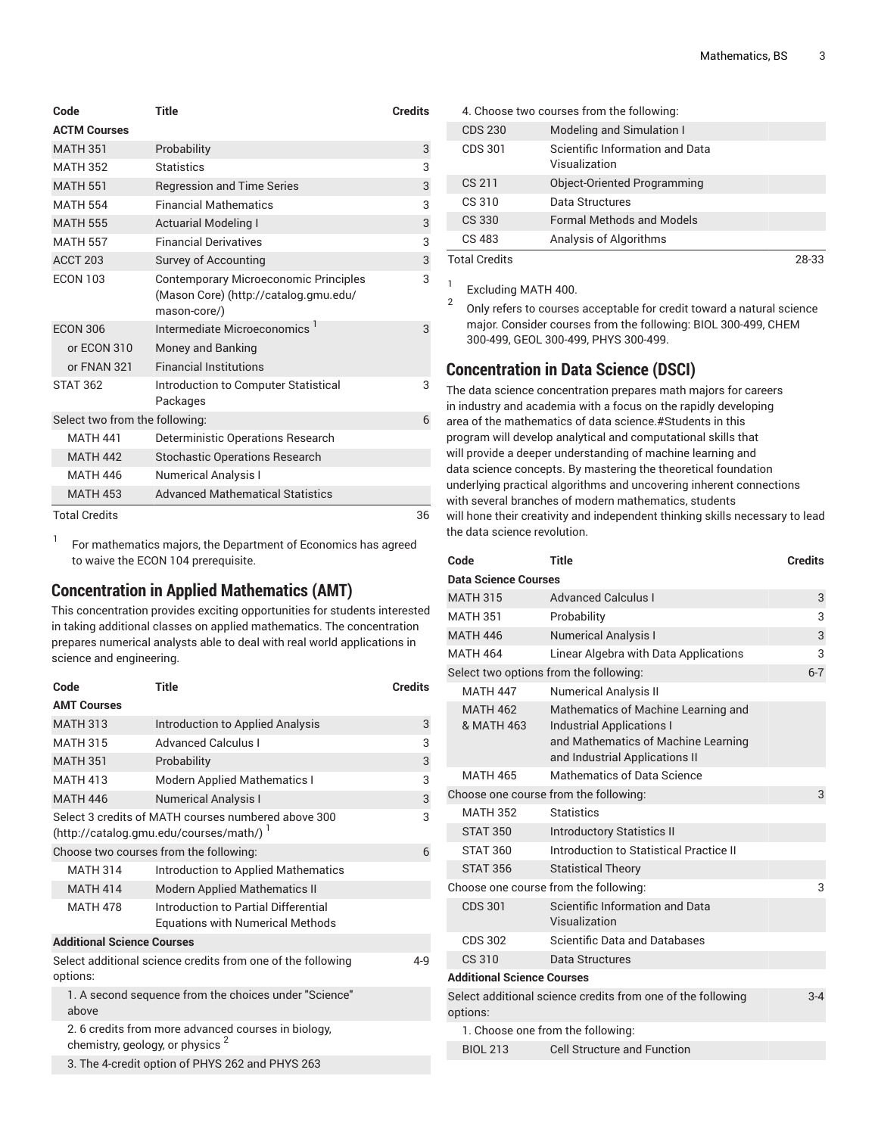| Code                           | <b>Title</b>                                                                                   | <b>Credits</b> |
|--------------------------------|------------------------------------------------------------------------------------------------|----------------|
| <b>ACTM Courses</b>            |                                                                                                |                |
| <b>MATH 351</b>                | Probability                                                                                    | 3              |
| <b>MATH 352</b>                | <b>Statistics</b>                                                                              | 3              |
| <b>MATH 551</b>                | <b>Regression and Time Series</b>                                                              | 3              |
| <b>MATH 554</b>                | <b>Financial Mathematics</b>                                                                   | 3              |
| <b>MATH 555</b>                | <b>Actuarial Modeling I</b>                                                                    | 3              |
| <b>MATH 557</b>                | <b>Financial Derivatives</b>                                                                   | 3              |
| ACCT <sub>203</sub>            | Survey of Accounting                                                                           | 3              |
| <b>ECON 103</b>                | Contemporary Microeconomic Principles<br>(Mason Core) (http://catalog.gmu.edu/<br>mason-core/) | 3              |
| <b>ECON 306</b>                | Intermediate Microeconomics <sup>1</sup>                                                       | 3              |
| or ECON 310                    | Money and Banking                                                                              |                |
| or FNAN 321                    | <b>Financial Institutions</b>                                                                  |                |
| <b>STAT 362</b>                | Introduction to Computer Statistical<br>Packages                                               | 3              |
| Select two from the following: |                                                                                                | 6              |
| <b>MATH 441</b>                | Deterministic Operations Research                                                              |                |
| <b>MATH 442</b>                | <b>Stochastic Operations Research</b>                                                          |                |
| <b>MATH 446</b>                | <b>Numerical Analysis I</b>                                                                    |                |
| <b>MATH 453</b>                | <b>Advanced Mathematical Statistics</b>                                                        |                |
| <b>Total Credits</b>           |                                                                                                | 36             |

1 For mathematics majors, the Department of Economics has agreed to waive the ECON 104 prerequisite.

### **Concentration in Applied Mathematics (AMT)**

This concentration provides exciting opportunities for students interested in taking additional classes on applied mathematics. The concentration prepares numerical analysts able to deal with real world applications in science and engineering.

| Code                              | <b>Title</b>                                                                                       | <b>Credits</b> |
|-----------------------------------|----------------------------------------------------------------------------------------------------|----------------|
| <b>AMT Courses</b>                |                                                                                                    |                |
| <b>MATH 313</b>                   | Introduction to Applied Analysis                                                                   | 3              |
| <b>MATH 315</b>                   | <b>Advanced Calculus I</b>                                                                         | 3              |
| <b>MATH 351</b>                   | Probability                                                                                        | 3              |
| <b>MATH 413</b>                   | <b>Modern Applied Mathematics I</b>                                                                | 3              |
| <b>MATH 446</b>                   | <b>Numerical Analysis I</b>                                                                        | 3              |
|                                   | Select 3 credits of MATH courses numbered above 300<br>(http://catalog.gmu.edu/courses/math/) '    | 3              |
|                                   | Choose two courses from the following:                                                             | 6              |
| <b>MATH 314</b>                   | Introduction to Applied Mathematics                                                                |                |
| <b>MATH 414</b>                   | <b>Modern Applied Mathematics II</b>                                                               |                |
| <b>MATH 478</b>                   | Introduction to Partial Differential<br><b>Equations with Numerical Methods</b>                    |                |
| <b>Additional Science Courses</b> |                                                                                                    |                |
| options:                          | Select additional science credits from one of the following                                        | 4-9            |
| above                             | 1. A second sequence from the choices under "Science"                                              |                |
|                                   | 2. 6 credits from more advanced courses in biology,<br>chemistry, geology, or physics <sup>2</sup> |                |
|                                   | 3. The 4-credit option of PHYS 262 and PHYS 263                                                    |                |

|                      | 4. Choose two courses from the following:        |       |
|----------------------|--------------------------------------------------|-------|
| <b>CDS 230</b>       | Modeling and Simulation I                        |       |
| CDS 301              | Scientific Information and Data<br>Visualization |       |
| CS 211               | <b>Object-Oriented Programming</b>               |       |
| CS 310               | Data Structures                                  |       |
| CS 330               | <b>Formal Methods and Models</b>                 |       |
| CS 483               | Analysis of Algorithms                           |       |
| <b>Total Credits</b> |                                                  | 28-33 |

1 Excluding MATH 400.

2

Only refers to courses acceptable for credit toward a natural science major. Consider courses from the following: BIOL 300-499, CHEM 300-499, GEOL 300-499, PHYS 300-499.

### **Concentration in Data Science (DSCI)**

The data science concentration prepares math majors for careers in industry and academia with a focus on the rapidly developing area of the mathematics of data science.#Students in this program will develop analytical and computational skills that will provide a deeper understanding of machine learning and data science concepts. By mastering the theoretical foundation underlying practical algorithms and uncovering inherent connections with several branches of modern mathematics, students will hone their creativity and independent thinking skills necessary to lead the data science revolution.

| Code                              | Title                                                                                                                                            | <b>Credits</b> |
|-----------------------------------|--------------------------------------------------------------------------------------------------------------------------------------------------|----------------|
| <b>Data Science Courses</b>       |                                                                                                                                                  |                |
| <b>MATH 315</b>                   | <b>Advanced Calculus I</b>                                                                                                                       | 3              |
| <b>MATH 351</b>                   | Probability                                                                                                                                      | 3              |
| <b>MATH 446</b>                   | <b>Numerical Analysis I</b>                                                                                                                      | 3              |
| <b>MATH 464</b>                   | Linear Algebra with Data Applications                                                                                                            | 3              |
|                                   | Select two options from the following:                                                                                                           | $6 - 7$        |
| <b>MATH 447</b>                   | <b>Numerical Analysis II</b>                                                                                                                     |                |
| <b>MATH 462</b><br>& MATH 463     | Mathematics of Machine Learning and<br><b>Industrial Applications I</b><br>and Mathematics of Machine Learning<br>and Industrial Applications II |                |
| <b>MATH 465</b>                   | Mathematics of Data Science                                                                                                                      |                |
|                                   | Choose one course from the following:                                                                                                            | 3              |
| <b>MATH 352</b>                   | <b>Statistics</b>                                                                                                                                |                |
| <b>STAT 350</b>                   | <b>Introductory Statistics II</b>                                                                                                                |                |
| <b>STAT 360</b>                   | Introduction to Statistical Practice II                                                                                                          |                |
| <b>STAT 356</b>                   | <b>Statistical Theory</b>                                                                                                                        |                |
|                                   | Choose one course from the following:                                                                                                            | 3              |
| <b>CDS 301</b>                    | Scientific Information and Data<br>Visualization                                                                                                 |                |
| <b>CDS 302</b>                    | Scientific Data and Databases                                                                                                                    |                |
| CS 310                            | Data Structures                                                                                                                                  |                |
| <b>Additional Science Courses</b> |                                                                                                                                                  |                |
| options:                          | Select additional science credits from one of the following                                                                                      | $3 - 4$        |
|                                   | 1. Choose one from the following:                                                                                                                |                |
| <b>BIOL 213</b>                   | <b>Cell Structure and Function</b>                                                                                                               |                |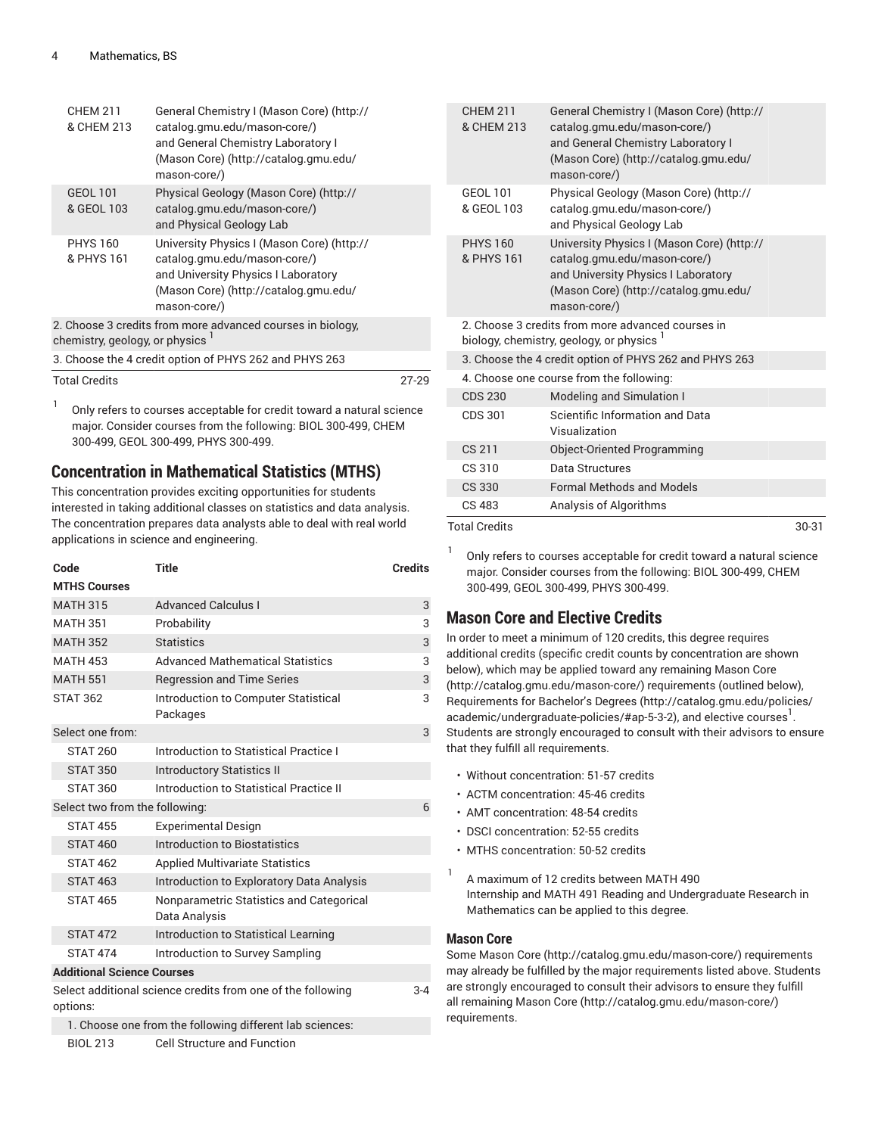| <b>CHEM 211</b><br>& CHEM 213               | General Chemistry I (Mason Core) (http://<br>catalog.gmu.edu/mason-core/)<br>and General Chemistry Laboratory I<br>(Mason Core) (http://catalog.gmu.edu/<br>mason-core/)   |       |
|---------------------------------------------|----------------------------------------------------------------------------------------------------------------------------------------------------------------------------|-------|
| <b>GEOL 101</b><br>& GEOL 103               | Physical Geology (Mason Core) (http://<br>catalog.gmu.edu/mason-core/)<br>and Physical Geology Lab                                                                         |       |
| <b>PHYS 160</b><br>& PHYS 161               | University Physics I (Mason Core) (http://<br>catalog.gmu.edu/mason-core/)<br>and University Physics I Laboratory<br>(Mason Core) (http://catalog.gmu.edu/<br>mason-core/) |       |
| chemistry, geology, or physics <sup>1</sup> | 2. Choose 3 credits from more advanced courses in biology,                                                                                                                 |       |
|                                             | 3. Choose the 4 credit option of PHYS 262 and PHYS 263                                                                                                                     |       |
| <b>Total Credits</b>                        |                                                                                                                                                                            | 27-29 |

1 Only refers to courses acceptable for credit toward a natural science major. Consider courses from the following: BIOL 300-499, CHEM 300-499, GEOL 300-499, PHYS 300-499.

### **Concentration in Mathematical Statistics (MTHS)**

This concentration provides exciting opportunities for students interested in taking additional classes on statistics and data analysis. The concentration prepares data analysts able to deal with real world applications in science and engineering.

| Code                              | <b>Title</b>                                                | <b>Credits</b> |
|-----------------------------------|-------------------------------------------------------------|----------------|
| <b>MTHS Courses</b>               |                                                             |                |
| <b>MATH 315</b>                   | <b>Advanced Calculus I</b>                                  | 3              |
| <b>MATH 351</b>                   | Probability                                                 | 3              |
| <b>MATH 352</b>                   | <b>Statistics</b>                                           | 3              |
| <b>MATH 453</b>                   | <b>Advanced Mathematical Statistics</b>                     | 3              |
| <b>MATH 551</b>                   | <b>Regression and Time Series</b>                           | 3              |
| <b>STAT 362</b>                   | Introduction to Computer Statistical<br>Packages            | 3              |
| Select one from:                  |                                                             | 3              |
| <b>STAT 260</b>                   | Introduction to Statistical Practice I                      |                |
| <b>STAT 350</b>                   | <b>Introductory Statistics II</b>                           |                |
| <b>STAT 360</b>                   | Introduction to Statistical Practice II                     |                |
| Select two from the following:    |                                                             | 6              |
| <b>STAT 455</b>                   | <b>Experimental Design</b>                                  |                |
| <b>STAT 460</b>                   | Introduction to Biostatistics                               |                |
| <b>STAT 462</b>                   | <b>Applied Multivariate Statistics</b>                      |                |
| <b>STAT 463</b>                   | Introduction to Exploratory Data Analysis                   |                |
| <b>STAT 465</b>                   | Nonparametric Statistics and Categorical<br>Data Analysis   |                |
| <b>STAT 472</b>                   | Introduction to Statistical Learning                        |                |
| <b>STAT 474</b>                   | Introduction to Survey Sampling                             |                |
| <b>Additional Science Courses</b> |                                                             |                |
| options:                          | Select additional science credits from one of the following | $3 - 4$        |
|                                   | 1. Choose one from the following different lab sciences:    |                |

BIOL 213 Cell Structure and Function

| <b>CHFM 211</b><br>& CHEM 213 | General Chemistry I (Mason Core) (http://<br>catalog.gmu.edu/mason-core/)<br>and General Chemistry Laboratory I<br>(Mason Core) (http://catalog.gmu.edu/<br>mason-core/)   |         |
|-------------------------------|----------------------------------------------------------------------------------------------------------------------------------------------------------------------------|---------|
| <b>GEOL 101</b><br>& GEOL 103 | Physical Geology (Mason Core) (http://<br>catalog.gmu.edu/mason-core/)<br>and Physical Geology Lab                                                                         |         |
| <b>PHYS 160</b><br>& PHYS 161 | University Physics I (Mason Core) (http://<br>catalog.gmu.edu/mason-core/)<br>and University Physics I Laboratory<br>(Mason Core) (http://catalog.gmu.edu/<br>mason-core/) |         |
|                               | 2. Choose 3 credits from more advanced courses in<br>biology, chemistry, geology, or physics 1                                                                             |         |
|                               | 3. Choose the 4 credit option of PHYS 262 and PHYS 263                                                                                                                     |         |
|                               | 4. Choose one course from the following:                                                                                                                                   |         |
| <b>CDS 230</b>                | Modeling and Simulation I                                                                                                                                                  |         |
| <b>CDS 301</b>                | Scientific Information and Data<br>Visualization                                                                                                                           |         |
| CS 211                        | Object-Oriented Programming                                                                                                                                                |         |
| CS 310                        | Data Structures                                                                                                                                                            |         |
| <b>CS 330</b>                 | <b>Formal Methods and Models</b>                                                                                                                                           |         |
| CS 483                        | Analysis of Algorithms                                                                                                                                                     |         |
| <b>Total Credits</b>          |                                                                                                                                                                            | $30-31$ |

1 Only refers to courses acceptable for credit toward a natural science major. Consider courses from the following: BIOL 300-499, CHEM 300-499, GEOL 300-499, PHYS 300-499.

### **Mason Core and Elective Credits**

In order to meet a minimum of 120 credits, this degree requires additional credits (specific credit counts by concentration are shown below), which may be applied toward any remaining [Mason](http://catalog.gmu.edu/mason-core/) Core [\(http://catalog.gmu.edu/mason-core/](http://catalog.gmu.edu/mason-core/)) requirements (outlined below), [Requirements](http://catalog.gmu.edu/policies/academic/undergraduate-policies/#ap-5-3-2) for Bachelor's Degrees ([http://catalog.gmu.edu/policies/](http://catalog.gmu.edu/policies/academic/undergraduate-policies/#ap-5-3-2) [academic/undergraduate-policies/#ap-5-3-2\)](http://catalog.gmu.edu/policies/academic/undergraduate-policies/#ap-5-3-2), and elective courses  $^{\mathrm{l}}$  . Students are strongly encouraged to consult with their advisors to ensure that they fulfill all requirements.

- Without concentration: 51-57 credits
- ACTM concentration: 45-46 credits
- AMT concentration: 48-54 credits
- DSCI concentration: 52-55 credits
- MTHS concentration: 50-52 credits
- 1 A maximum of 12 credits between MATH 490 Internship and MATH 491 Reading and Undergraduate Research in Mathematics can be applied to this degree.

#### **Mason Core**

Some [Mason](http://catalog.gmu.edu/mason-core/) Core ([http://catalog.gmu.edu/mason-core/\)](http://catalog.gmu.edu/mason-core/) requirements may already be fulfilled by the major requirements listed above. Students are strongly encouraged to consult their advisors to ensure they fulfill all remaining [Mason](http://catalog.gmu.edu/mason-core/) Core [\(http://catalog.gmu.edu/mason-core/](http://catalog.gmu.edu/mason-core/)) requirements.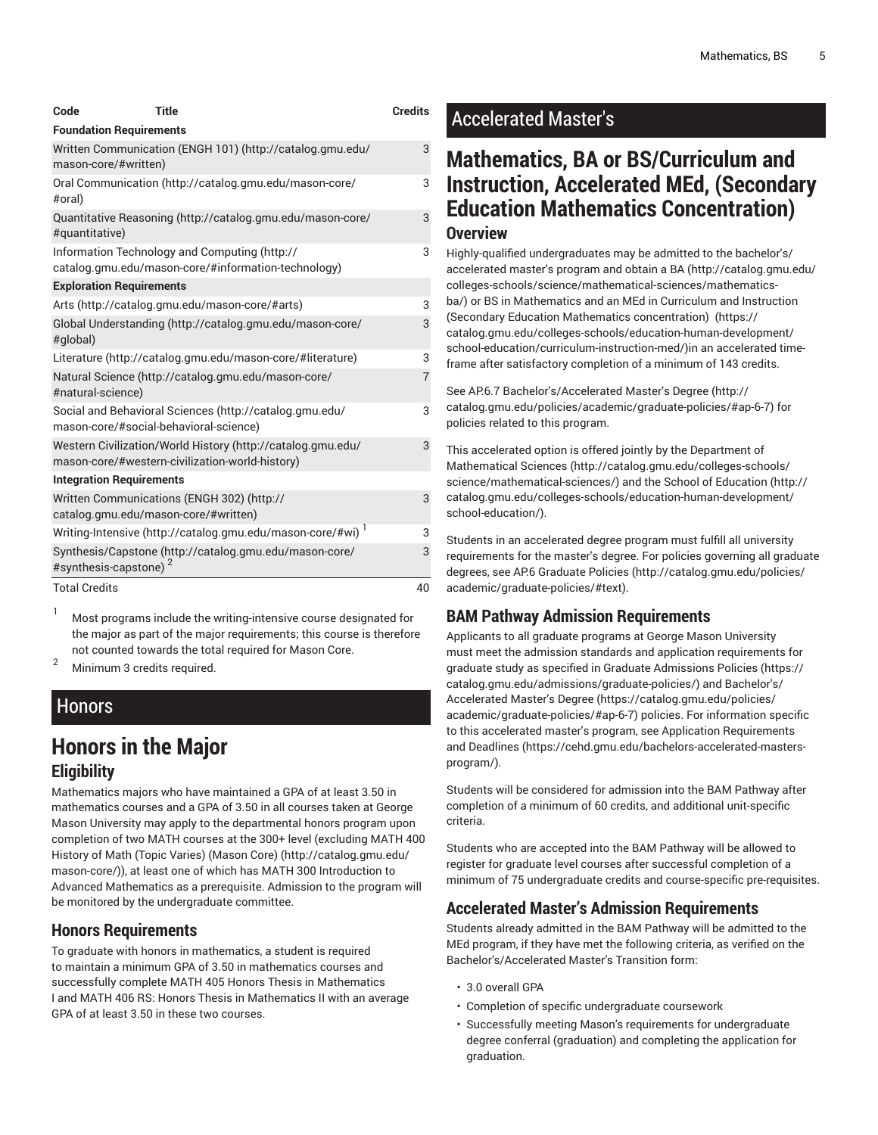| Code                            | <b>Title</b>                                                                                                   | <b>Credits</b> |
|---------------------------------|----------------------------------------------------------------------------------------------------------------|----------------|
| <b>Foundation Requirements</b>  |                                                                                                                |                |
| mason-core/#written)            | Written Communication (ENGH 101) (http://catalog.gmu.edu/                                                      | 3              |
| #oral)                          | Oral Communication (http://catalog.gmu.edu/mason-core/                                                         | 3              |
| #quantitative)                  | Quantitative Reasoning (http://catalog.gmu.edu/mason-core/                                                     | 3              |
|                                 | Information Technology and Computing (http://<br>catalog.gmu.edu/mason-core/#information-technology)           | 3              |
| <b>Exploration Requirements</b> |                                                                                                                |                |
|                                 | Arts (http://catalog.gmu.edu/mason-core/#arts)                                                                 | 3              |
| #global)                        | Global Understanding (http://catalog.gmu.edu/mason-core/                                                       | 3              |
|                                 | Literature (http://catalog.gmu.edu/mason-core/#literature)                                                     | 3              |
| #natural-science)               | Natural Science (http://catalog.gmu.edu/mason-core/                                                            | $\overline{7}$ |
|                                 | Social and Behavioral Sciences (http://catalog.gmu.edu/<br>mason-core/#social-behavioral-science)              | 3              |
|                                 | Western Civilization/World History (http://catalog.gmu.edu/<br>mason-core/#western-civilization-world-history) | 3              |
| <b>Integration Requirements</b> |                                                                                                                |                |
|                                 | Written Communications (ENGH 302) (http://<br>catalog.gmu.edu/mason-core/#written)                             | 3              |
|                                 | Writing-Intensive (http://catalog.gmu.edu/mason-core/#wi) <sup>1</sup>                                         | 3              |
| #synthesis-capstone)            | Synthesis/Capstone (http://catalog.gmu.edu/mason-core/                                                         | 3              |
| <b>Total Credits</b>            |                                                                                                                | 40             |

Most programs include the writing-intensive course designated for the major as part of the major requirements; this course is therefore not counted towards the total required for Mason Core.

<sup>2</sup> Minimum <sup>3</sup> credits required.

### Honors

### **Honors in the Major Eligibility**

Mathematics majors who have maintained a GPA of at least 3.50 in mathematics courses and a GPA of 3.50 in all courses taken at George Mason University may apply to the departmental honors program upon completion of two MATH courses at the 300+ level (excluding MATH 400 History of Math (Topic Varies) [\(Mason](http://catalog.gmu.edu/mason-core/) Core) ([http://catalog.gmu.edu/](http://catalog.gmu.edu/mason-core/) [mason-core/\)](http://catalog.gmu.edu/mason-core/)), at least one of which has MATH 300 Introduction to Advanced Mathematics as a prerequisite. Admission to the program will be monitored by the undergraduate committee.

### **Honors Requirements**

To graduate with honors in mathematics, a student is required to maintain a minimum GPA of 3.50 in mathematics courses and successfully complete MATH 405 Honors Thesis in Mathematics I and MATH 406 RS: Honors Thesis in Mathematics II with an average GPA of at least 3.50 in these two courses.

### Accelerated Master's

### **Mathematics, BA or BS/Curriculum and Instruction, Accelerated MEd, (Secondary Education Mathematics Concentration) Overview**

Highly-qualified undergraduates may be admitted to the bachelor's/ accelerated master's program and obtain a [BA \(http://catalog.gmu.edu/](http://catalog.gmu.edu/colleges-schools/science/mathematical-sciences/mathematics-ba/) [colleges-schools/science/mathematical-sciences/mathematics](http://catalog.gmu.edu/colleges-schools/science/mathematical-sciences/mathematics-ba/)[ba/\)](http://catalog.gmu.edu/colleges-schools/science/mathematical-sciences/mathematics-ba/) or [BS in Mathematics](#page-0-1) and an MEd in [Curriculum](https://catalog.gmu.edu/colleges-schools/education-human-development/school-education/curriculum-instruction-med/) and Instruction (Secondary Education Mathematics [concentration\) \(https://](https://catalog.gmu.edu/colleges-schools/education-human-development/school-education/curriculum-instruction-med/) [catalog.gmu.edu/colleges-schools/education-human-development/](https://catalog.gmu.edu/colleges-schools/education-human-development/school-education/curriculum-instruction-med/) [school-education/curriculum-instruction-med/\)](https://catalog.gmu.edu/colleges-schools/education-human-development/school-education/curriculum-instruction-med/)in an accelerated timeframe after satisfactory completion of a minimum of 143 credits.

See AP.6.7 [Bachelor's/Accelerated](http://catalog.gmu.edu/policies/academic/graduate-policies/#ap-6-7) Master's Degree ([http://](http://catalog.gmu.edu/policies/academic/graduate-policies/#ap-6-7) [catalog.gmu.edu/policies/academic/graduate-policies/#ap-6-7](http://catalog.gmu.edu/policies/academic/graduate-policies/#ap-6-7)) for policies related to this program.

This accelerated option is offered jointly by the [Department](http://catalog.gmu.edu/colleges-schools/science/mathematical-sciences/) of [Mathematical Sciences \(http://catalog.gmu.edu/colleges-schools/](http://catalog.gmu.edu/colleges-schools/science/mathematical-sciences/) [science/mathematical-sciences/](http://catalog.gmu.edu/colleges-schools/science/mathematical-sciences/)) and the School of [Education](http://catalog.gmu.edu/colleges-schools/education-human-development/school-education/) ([http://](http://catalog.gmu.edu/colleges-schools/education-human-development/school-education/) [catalog.gmu.edu/colleges-schools/education-human-development/](http://catalog.gmu.edu/colleges-schools/education-human-development/school-education/) [school-education/\)](http://catalog.gmu.edu/colleges-schools/education-human-development/school-education/).

Students in an accelerated degree program must fulfill all university requirements for the master's degree. For policies governing all graduate degrees, see AP.6 [Graduate](http://catalog.gmu.edu/policies/academic/graduate-policies/#text) Policies [\(http://catalog.gmu.edu/policies/](http://catalog.gmu.edu/policies/academic/graduate-policies/#text) [academic/graduate-policies/#text\)](http://catalog.gmu.edu/policies/academic/graduate-policies/#text).

### **BAM Pathway Admission Requirements**

Applicants to all graduate programs at George Mason University must meet the admission standards and application requirements for graduate study as specified in Graduate [Admissions](https://catalog.gmu.edu/admissions/graduate-policies/) Policies [\(https://](https://catalog.gmu.edu/admissions/graduate-policies/) [catalog.gmu.edu/admissions/graduate-policies/\)](https://catalog.gmu.edu/admissions/graduate-policies/) and [Bachelor's/](https://catalog.gmu.edu/policies/academic/graduate-policies/#ap-6-7) [Accelerated](https://catalog.gmu.edu/policies/academic/graduate-policies/#ap-6-7) Master's Degree ([https://catalog.gmu.edu/policies/](https://catalog.gmu.edu/policies/academic/graduate-policies/#ap-6-7) [academic/graduate-policies/#ap-6-7](https://catalog.gmu.edu/policies/academic/graduate-policies/#ap-6-7)) policies. For information specific to this accelerated master's program, see Application [Requirements](https://cehd.gmu.edu/bachelors-accelerated-masters-program/) [and Deadlines](https://cehd.gmu.edu/bachelors-accelerated-masters-program/) ([https://cehd.gmu.edu/bachelors-accelerated-masters](https://cehd.gmu.edu/bachelors-accelerated-masters-program/)[program/](https://cehd.gmu.edu/bachelors-accelerated-masters-program/)).

Students will be considered for admission into the BAM Pathway after completion of a minimum of 60 credits, and additional unit-specific criteria.

Students who are accepted into the BAM Pathway will be allowed to register for graduate level courses after successful completion of a minimum of 75 undergraduate credits and course-specific pre-requisites.

### **Accelerated Master's Admission Requirements**

Students already admitted in the BAM Pathway will be admitted to the MEd program, if they have met the following criteria, as verified on the Bachelor's/Accelerated Master's Transition form:

- 3.0 overall GPA
- Completion of specific undergraduate coursework
- Successfully meeting Mason's requirements for undergraduate degree conferral (graduation) and completing the application for graduation.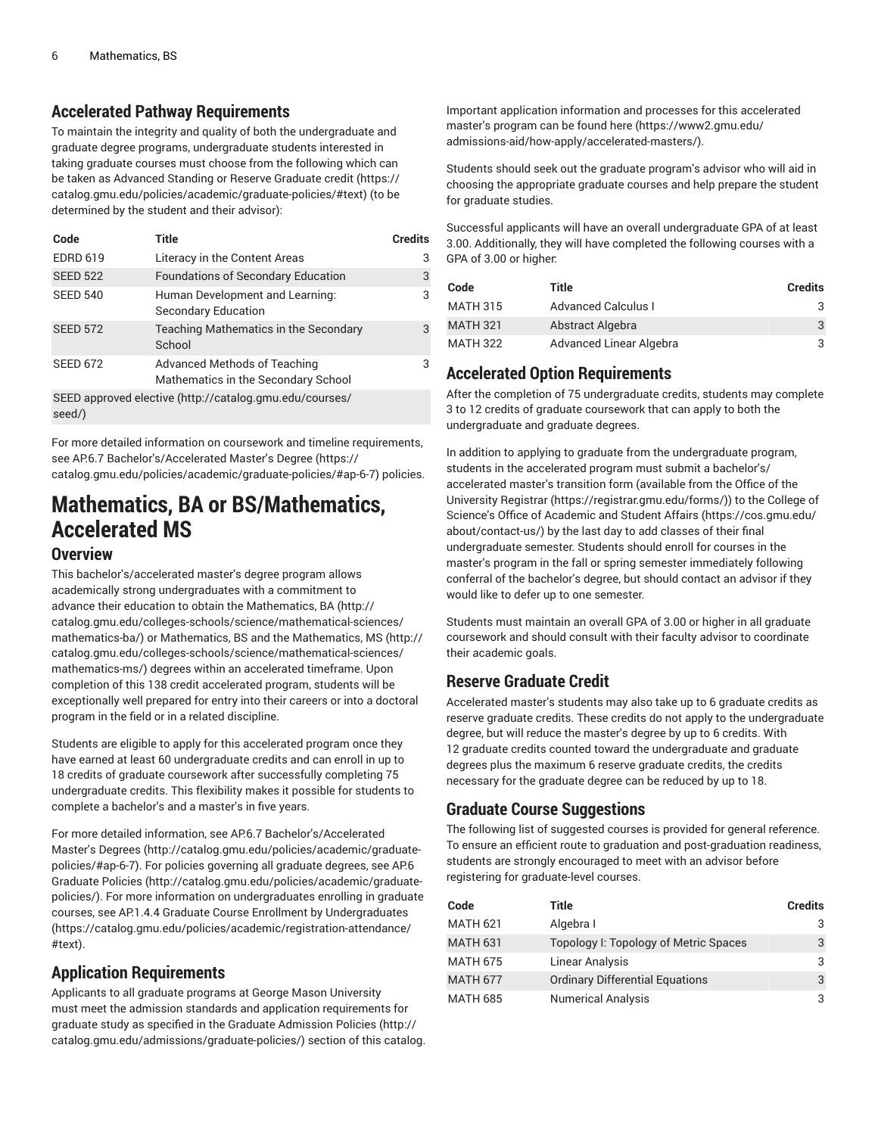### **Accelerated Pathway Requirements**

To maintain the integrity and quality of both the undergraduate and graduate degree programs, undergraduate students interested in taking graduate courses must choose from the following which can be taken as [Advanced](https://catalog.gmu.edu/policies/academic/graduate-policies/#text) Standing or Reserve Graduate credit [\(https://](https://catalog.gmu.edu/policies/academic/graduate-policies/#text) [catalog.gmu.edu/policies/academic/graduate-policies/#text](https://catalog.gmu.edu/policies/academic/graduate-policies/#text)) (to be determined by the student and their advisor):

| Code                                                              | Title                                                               | <b>Credits</b> |
|-------------------------------------------------------------------|---------------------------------------------------------------------|----------------|
| <b>EDRD 619</b>                                                   | Literacy in the Content Areas                                       | 3              |
| <b>SEED 522</b>                                                   | <b>Foundations of Secondary Education</b>                           | 3              |
| <b>SEED 540</b>                                                   | Human Development and Learning:<br>Secondary Education              | 3              |
| <b>SEED 572</b>                                                   | Teaching Mathematics in the Secondary<br>School                     | 3              |
| <b>SEED 672</b>                                                   | Advanced Methods of Teaching<br>Mathematics in the Secondary School | 3              |
| SEED approved elective (http://catalog.gmu.edu/courses/<br>seed/) |                                                                     |                |

For more detailed information on coursework and timeline requirements, see AP.6.7 [Bachelor's/Accelerated](https://catalog.gmu.edu/policies/academic/graduate-policies/#ap-6-7) Master's Degree ([https://](https://catalog.gmu.edu/policies/academic/graduate-policies/#ap-6-7) [catalog.gmu.edu/policies/academic/graduate-policies/#ap-6-7\)](https://catalog.gmu.edu/policies/academic/graduate-policies/#ap-6-7) policies.

# **Mathematics, BA or BS/Mathematics, Accelerated MS**

#### **Overview**

This bachelor's/accelerated master's degree program allows academically strong undergraduates with a commitment to advance their education to obtain the [Mathematics, BA](http://catalog.gmu.edu/colleges-schools/science/mathematical-sciences/mathematics-ba/) ([http://](http://catalog.gmu.edu/colleges-schools/science/mathematical-sciences/mathematics-ba/) [catalog.gmu.edu/colleges-schools/science/mathematical-sciences/](http://catalog.gmu.edu/colleges-schools/science/mathematical-sciences/mathematics-ba/) [mathematics-ba/\)](http://catalog.gmu.edu/colleges-schools/science/mathematical-sciences/mathematics-ba/) or [Mathematics, BS](#page-0-1) and the [Mathematics, MS](http://catalog.gmu.edu/colleges-schools/science/mathematical-sciences/mathematics-ms/) ([http://](http://catalog.gmu.edu/colleges-schools/science/mathematical-sciences/mathematics-ms/) [catalog.gmu.edu/colleges-schools/science/mathematical-sciences/](http://catalog.gmu.edu/colleges-schools/science/mathematical-sciences/mathematics-ms/) [mathematics-ms/](http://catalog.gmu.edu/colleges-schools/science/mathematical-sciences/mathematics-ms/)) degrees within an accelerated timeframe. Upon completion of this 138 credit accelerated program, students will be exceptionally well prepared for entry into their careers or into a doctoral program in the field or in a related discipline.

Students are eligible to apply for this accelerated program once they have earned at least 60 undergraduate credits and can enroll in up to 18 credits of graduate coursework after successfully completing 75 undergraduate credits. This flexibility makes it possible for students to complete a bachelor's and a master's in five years.

For more detailed information, see AP.6.7 [Bachelor's/Accelerated](http://catalog.gmu.edu/policies/academic/graduate-policies/#ap-6-7) [Master's](http://catalog.gmu.edu/policies/academic/graduate-policies/#ap-6-7) Degrees ([http://catalog.gmu.edu/policies/academic/graduate](http://catalog.gmu.edu/policies/academic/graduate-policies/#ap-6-7)[policies/#ap-6-7](http://catalog.gmu.edu/policies/academic/graduate-policies/#ap-6-7)). For policies governing all graduate degrees, see [AP.6](http://catalog.gmu.edu/policies/academic/graduate-policies/) [Graduate](http://catalog.gmu.edu/policies/academic/graduate-policies/) Policies ([http://catalog.gmu.edu/policies/academic/graduate](http://catalog.gmu.edu/policies/academic/graduate-policies/)[policies/](http://catalog.gmu.edu/policies/academic/graduate-policies/)). For more information on undergraduates enrolling in graduate courses, see AP.1.4.4 Graduate Course Enrollment by [Undergraduates](https://catalog.gmu.edu/policies/academic/registration-attendance/#text) ([https://catalog.gmu.edu/policies/academic/registration-attendance/](https://catalog.gmu.edu/policies/academic/registration-attendance/#text) [#text\)](https://catalog.gmu.edu/policies/academic/registration-attendance/#text).

### **Application Requirements**

Applicants to all graduate programs at George Mason University must meet the admission standards and application requirements for graduate study as specified in the Graduate [Admission](http://catalog.gmu.edu/admissions/graduate-policies/) Policies [\(http://](http://catalog.gmu.edu/admissions/graduate-policies/) [catalog.gmu.edu/admissions/graduate-policies/](http://catalog.gmu.edu/admissions/graduate-policies/)) section of this catalog.

Important application information and processes for this accelerated master's program can be found [here](https://www2.gmu.edu/admissions-aid/how-apply/accelerated-masters/) ([https://www2.gmu.edu/](https://www2.gmu.edu/admissions-aid/how-apply/accelerated-masters/) [admissions-aid/how-apply/accelerated-masters/](https://www2.gmu.edu/admissions-aid/how-apply/accelerated-masters/)).

Students should seek out the graduate program's advisor who will aid in choosing the appropriate graduate courses and help prepare the student for graduate studies.

Successful applicants will have an overall undergraduate GPA of at least 3.00. Additionally, they will have completed the following courses with a GPA of 3.00 or higher:

| Code            | Title                      | <b>Credits</b> |
|-----------------|----------------------------|----------------|
| <b>MATH 315</b> | <b>Advanced Calculus I</b> |                |
| <b>MATH 321</b> | Abstract Algebra           |                |
| <b>MATH 322</b> | Advanced Linear Algebra    |                |

### **Accelerated Option Requirements**

After the completion of 75 undergraduate credits, students may complete 3 to 12 credits of graduate coursework that can apply to both the undergraduate and graduate degrees.

In addition to applying to graduate from the undergraduate program, students in the accelerated program must submit a bachelor's/ accelerated master's transition form (available from the [Office of the](https://registrar.gmu.edu/forms/) [University](https://registrar.gmu.edu/forms/) Registrar (<https://registrar.gmu.edu/forms/>)) to the [College of](https://cos.gmu.edu/about/contact-us/) Science's Office of [Academic](https://cos.gmu.edu/about/contact-us/) and Student Affairs [\(https://cos.gmu.edu/](https://cos.gmu.edu/about/contact-us/) [about/contact-us/](https://cos.gmu.edu/about/contact-us/)) by the last day to add classes of their final undergraduate semester. Students should enroll for courses in the master's program in the fall or spring semester immediately following conferral of the bachelor's degree, but should contact an advisor if they would like to defer up to one semester.

Students must maintain an overall GPA of 3.00 or higher in all graduate coursework and should consult with their faculty advisor to coordinate their academic goals.

### **Reserve Graduate Credit**

Accelerated master's students may also take up to 6 graduate credits as reserve graduate credits. These credits do not apply to the undergraduate degree, but will reduce the master's degree by up to 6 credits. With 12 graduate credits counted toward the undergraduate and graduate degrees plus the maximum 6 reserve graduate credits, the credits necessary for the graduate degree can be reduced by up to 18.

### **Graduate Course Suggestions**

The following list of suggested courses is provided for general reference. To ensure an efficient route to graduation and post-graduation readiness, students are strongly encouraged to meet with an advisor before registering for graduate-level courses.

| Code            | Title                                  | <b>Credits</b> |
|-----------------|----------------------------------------|----------------|
| MATH 621        | Algebra I                              |                |
| <b>MATH 631</b> | Topology I: Topology of Metric Spaces  | 3              |
| <b>MATH 675</b> | Linear Analysis                        | 3              |
| <b>MATH 677</b> | <b>Ordinary Differential Equations</b> | 3              |
| MATH 685        | <b>Numerical Analysis</b>              |                |